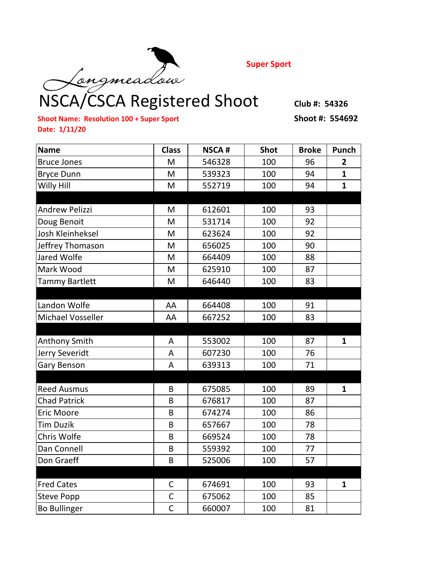

**Super Sport**

## NSCA/CSCA Registered Shoot Club #: 54326

**Shoot Name: Resolution 100 + Super Sport Shoot #: 554692 Date: 1/11/20**

| <b>Name</b>              | <b>Class</b> | <b>NSCA#</b> | <b>Shot</b> | <b>Broke</b> | Punch          |
|--------------------------|--------------|--------------|-------------|--------------|----------------|
| <b>Bruce Jones</b>       | M            | 546328       | 100         | 96           | $\overline{2}$ |
| <b>Bryce Dunn</b>        | M            | 539323       | 100         | 94           | $\mathbf{1}$   |
| Willy Hill               | M            | 552719       | 100         | 94           | $\mathbf{1}$   |
|                          |              |              |             |              |                |
| <b>Andrew Pelizzi</b>    | M            | 612601       | 100         | 93           |                |
| Doug Benoit              | M            | 531714       | 100         | 92           |                |
| Josh Kleinheksel         | M            | 623624       | 100         | 92           |                |
| Jeffrey Thomason         | M            | 656025       | 100         | 90           |                |
| Jared Wolfe              | M            | 664409       | 100         | 88           |                |
| Mark Wood                | M            | 625910       | 100         | 87           |                |
| <b>Tammy Bartlett</b>    | M            | 646440       | 100         | 83           |                |
|                          |              |              |             |              |                |
| Landon Wolfe             | AA           | 664408       | 100         | 91           |                |
| <b>Michael Vosseller</b> | AA           | 667252       | 100         | 83           |                |
|                          |              |              |             |              |                |
| <b>Anthony Smith</b>     | A            | 553002       | 100         | 87           | $\mathbf{1}$   |
| Jerry Severidt           | A            | 607230       | 100         | 76           |                |
| Gary Benson              | A            | 639313       | 100         | 71           |                |
|                          |              |              |             |              |                |
| <b>Reed Ausmus</b>       | B            | 675085       | 100         | 89           | $\mathbf{1}$   |
| <b>Chad Patrick</b>      | B            | 676817       | 100         | 87           |                |
| <b>Eric Moore</b>        | B            | 674274       | 100         | 86           |                |
| <b>Tim Duzik</b>         | B            | 657667       | 100         | 78           |                |
| Chris Wolfe              | B            | 669524       | 100         | 78           |                |
| Dan Connell              | B            | 559392       | 100         | 77           |                |
| Don Graeff               | B            | 525006       | 100         | 57           |                |
|                          |              |              |             |              |                |
| <b>Fred Cates</b>        | C            | 674691       | 100         | 93           | $\mathbf{1}$   |
| Steve Popp               | $\mathsf C$  | 675062       | 100         | 85           |                |
| <b>Bo Bullinger</b>      | $\mathsf C$  | 660007       | 100         | 81           |                |